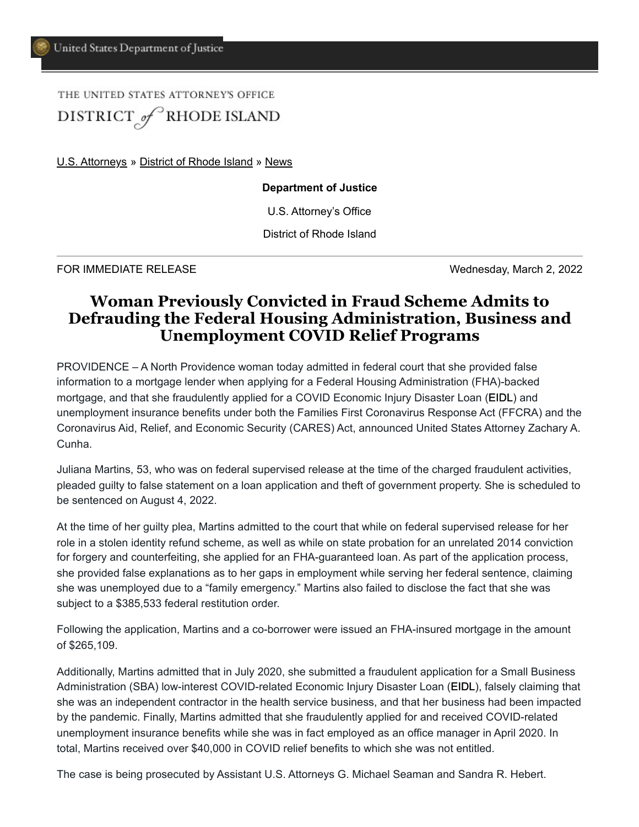## THE UNITED STATES ATTORNEY'S OFFICE DISTRICT of RHODE ISLAND

[U.S. Attorneys](https://www.justice.gov/usao) » [District of Rhode Island](https://www.justice.gov/usao-ri) » [News](https://www.justice.gov/usao-ri/pr)

## **Department of Justice**

U.S. Attorney's Office

District of Rhode Island

FOR IMMEDIATE RELEASE Wednesday, March 2, 2022

## **Woman Previously Convicted in Fraud Scheme Admits to Defrauding the Federal Housing Administration, Business and Unemployment COVID Relief Programs**

PROVIDENCE – A North Providence woman today admitted in federal court that she provided false information to a mortgage lender when applying for a Federal Housing Administration (FHA)-backed mortgage, and that she fraudulently applied for a COVID Economic Injury Disaster Loan (EIDL) and unemployment insurance benefits under both the Families First Coronavirus Response Act (FFCRA) and the Coronavirus Aid, Relief, and Economic Security (CARES) Act, announced United States Attorney Zachary A. Cunha.

Juliana Martins, 53, who was on federal supervised release at the time of the charged fraudulent activities, pleaded guilty to false statement on a loan application and theft of government property. She is scheduled to be sentenced on August 4, 2022.

At the time of her guilty plea, Martins admitted to the court that while on federal supervised release for her role in a stolen identity refund scheme, as well as while on state probation for an unrelated 2014 conviction for forgery and counterfeiting, she applied for an FHA-guaranteed loan. As part of the application process, she provided false explanations as to her gaps in employment while serving her federal sentence, claiming she was unemployed due to a "family emergency." Martins also failed to disclose the fact that she was subject to a \$385,533 federal restitution order.

Following the application, Martins and a co-borrower were issued an FHA-insured mortgage in the amount of \$265,109.

Additionally, Martins admitted that in July 2020, she submitted a fraudulent application for a Small Business Administration (SBA) low-interest COVID-related Economic Injury Disaster Loan (EIDL), falsely claiming that she was an independent contractor in the health service business, and that her business had been impacted by the pandemic. Finally, Martins admitted that she fraudulently applied for and received COVID-related unemployment insurance benefits while she was in fact employed as an office manager in April 2020. In total, Martins received over \$40,000 in COVID relief benefits to which she was not entitled.

The case is being prosecuted by Assistant U.S. Attorneys G. Michael Seaman and Sandra R. Hebert.